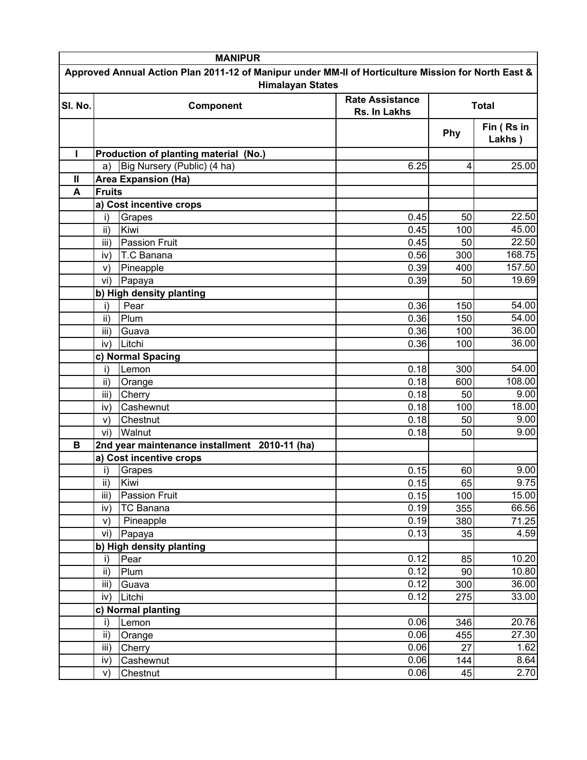|                                                                                                                                | <b>MANIPUR</b>                   |                                               |                                        |              |                      |  |
|--------------------------------------------------------------------------------------------------------------------------------|----------------------------------|-----------------------------------------------|----------------------------------------|--------------|----------------------|--|
| Approved Annual Action Plan 2011-12 of Manipur under MM-II of Horticulture Mission for North East &<br><b>Himalayan States</b> |                                  |                                               |                                        |              |                      |  |
| SI. No.                                                                                                                        | Component                        |                                               | <b>Rate Assistance</b><br>Rs. In Lakhs | <b>Total</b> |                      |  |
|                                                                                                                                |                                  |                                               |                                        | Phy          | Fin (Rs in<br>Lakhs) |  |
| ı                                                                                                                              |                                  | Production of planting material (No.)         |                                        |              |                      |  |
|                                                                                                                                | a)                               | Big Nursery (Public) (4 ha)                   | 6.25                                   | 4            | 25.00                |  |
| Ш                                                                                                                              |                                  | <b>Area Expansion (Ha)</b>                    |                                        |              |                      |  |
| A                                                                                                                              | <b>Fruits</b>                    |                                               |                                        |              |                      |  |
|                                                                                                                                |                                  | a) Cost incentive crops                       |                                        |              |                      |  |
|                                                                                                                                | i)                               | Grapes                                        | 0.45                                   | 50           | 22.50                |  |
|                                                                                                                                | ii)                              | Kiwi                                          | 0.45                                   | 100          | 45.00                |  |
|                                                                                                                                | iii)                             | <b>Passion Fruit</b>                          | 0.45                                   | 50           | 22.50                |  |
|                                                                                                                                | iv)                              | T.C Banana                                    | 0.56                                   | 300          | 168.75               |  |
|                                                                                                                                | V)                               | Pineapple                                     | 0.39                                   | 400          | 157.50               |  |
|                                                                                                                                | vi)                              | Papaya                                        | 0.39                                   | 50           | 19.69                |  |
|                                                                                                                                |                                  | b) High density planting                      |                                        |              |                      |  |
|                                                                                                                                | i)                               | Pear                                          | 0.36                                   | 150          | 54.00                |  |
|                                                                                                                                | ii)                              | Plum                                          | 0.36                                   | 150          | 54.00                |  |
|                                                                                                                                | iii)                             | Guava                                         | 0.36                                   | 100          | 36.00                |  |
|                                                                                                                                | iv)                              | Litchi                                        | 0.36                                   | 100          | 36.00                |  |
|                                                                                                                                |                                  | c) Normal Spacing                             |                                        |              |                      |  |
|                                                                                                                                | i)                               | Lemon                                         | 0.18                                   | 300          | 54.00                |  |
|                                                                                                                                | ii)                              | Orange                                        | 0.18                                   | 600          | 108.00               |  |
|                                                                                                                                | iii)                             | Cherry                                        | 0.18                                   | 50           | 9.00                 |  |
|                                                                                                                                | iv)                              | Cashewnut                                     | 0.18                                   | 100          | 18.00                |  |
|                                                                                                                                | V)                               | Chestnut                                      | 0.18                                   | 50           | 9.00                 |  |
|                                                                                                                                | vi)                              | Walnut                                        | 0.18                                   | 50           | 9.00                 |  |
| B                                                                                                                              |                                  | 2nd year maintenance installment 2010-11 (ha) |                                        |              |                      |  |
|                                                                                                                                |                                  | a) Cost incentive crops                       |                                        |              |                      |  |
|                                                                                                                                | i)<br>$\overline{\mathsf{i}}$ i) | Grapes<br>Kiwi                                | 0.15<br>0.15                           | 60<br>65     | 9.00<br>9.75         |  |
|                                                                                                                                | iii)                             | <b>Passion Fruit</b>                          | 0.15                                   | 100          | 15.00                |  |
|                                                                                                                                | iv)                              | <b>TC Banana</b>                              | 0.19                                   | 355          | 66.56                |  |
|                                                                                                                                | V)                               | Pineapple                                     | 0.19                                   | 380          | 71.25                |  |
|                                                                                                                                | vi)                              | Papaya                                        | 0.13                                   | 35           | 4.59                 |  |
|                                                                                                                                |                                  | b) High density planting                      |                                        |              |                      |  |
|                                                                                                                                | i)                               | Pear                                          | 0.12                                   | 85           | 10.20                |  |
|                                                                                                                                | ii)                              | Plum                                          | 0.12                                   | 90           | 10.80                |  |
|                                                                                                                                | iii)                             | Guava                                         | 0.12                                   | 300          | 36.00                |  |
|                                                                                                                                | iv)                              | Litchi                                        | 0.12                                   | 275          | 33.00                |  |
|                                                                                                                                |                                  | c) Normal planting                            |                                        |              |                      |  |
|                                                                                                                                | i)                               | Lemon                                         | 0.06                                   | 346          | 20.76                |  |
|                                                                                                                                | ii)                              | Orange                                        | 0.06                                   | 455          | 27.30                |  |
|                                                                                                                                | iii)                             | Cherry                                        | 0.06                                   | 27           | 1.62                 |  |
|                                                                                                                                | iv)                              | Cashewnut                                     | 0.06                                   | 144          | 8.64                 |  |
|                                                                                                                                | V)                               | Chestnut                                      | 0.06                                   | 45           | 2.70                 |  |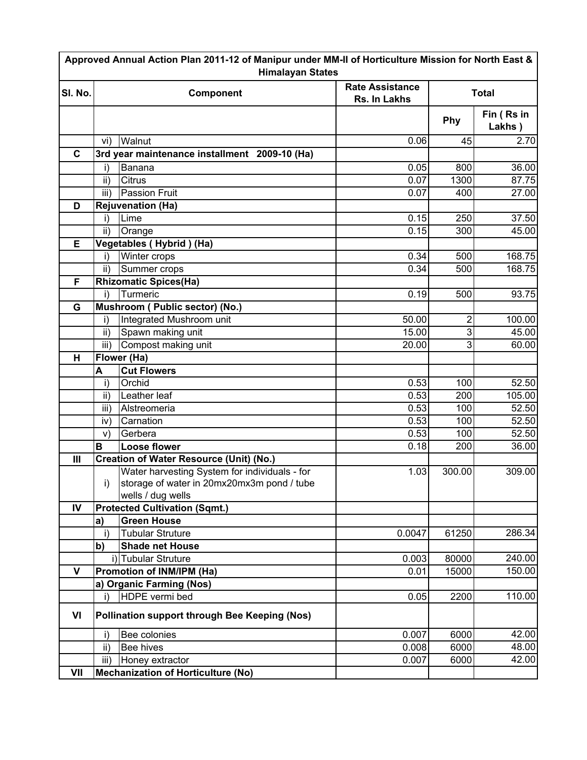| Approved Annual Action Plan 2011-12 of Manipur under MM-II of Horticulture Mission for North East &<br><b>Himalayan States</b> |                                               |                                                |                                        |              |                      |  |
|--------------------------------------------------------------------------------------------------------------------------------|-----------------------------------------------|------------------------------------------------|----------------------------------------|--------------|----------------------|--|
| SI. No.                                                                                                                        | Component                                     |                                                | <b>Rate Assistance</b><br>Rs. In Lakhs | <b>Total</b> |                      |  |
|                                                                                                                                |                                               |                                                |                                        | Phy          | Fin (Rs in<br>Lakhs) |  |
|                                                                                                                                | vi)                                           | Walnut                                         | 0.06                                   | 45           | 2.70                 |  |
| $\mathbf{C}$                                                                                                                   |                                               | 3rd year maintenance installment 2009-10 (Ha)  |                                        |              |                      |  |
|                                                                                                                                | i)                                            | Banana                                         | 0.05                                   | 800          | 36.00                |  |
|                                                                                                                                | ii)                                           | Citrus                                         | 0.07                                   | 1300         | 87.75                |  |
|                                                                                                                                | iii)                                          | <b>Passion Fruit</b>                           | 0.07                                   | 400          | 27.00                |  |
| D                                                                                                                              |                                               | <b>Rejuvenation (Ha)</b>                       |                                        |              |                      |  |
|                                                                                                                                | i)                                            | Lime                                           | 0.15                                   | 250          | 37.50                |  |
|                                                                                                                                | ii)                                           | Orange                                         | 0.15                                   | 300          | 45.00                |  |
| Е                                                                                                                              |                                               | Vegetables (Hybrid) (Ha)                       |                                        |              |                      |  |
|                                                                                                                                | i)                                            | Winter crops                                   | 0.34                                   | 500          | 168.75               |  |
|                                                                                                                                | ii)                                           | Summer crops                                   | 0.34                                   | 500          | 168.75               |  |
| F                                                                                                                              |                                               | <b>Rhizomatic Spices(Ha)</b>                   |                                        |              |                      |  |
|                                                                                                                                | i)                                            | Turmeric                                       | 0.19                                   | 500          | 93.75                |  |
| G                                                                                                                              |                                               | Mushroom (Public sector) (No.)                 |                                        |              |                      |  |
|                                                                                                                                | i)                                            | Integrated Mushroom unit                       | 50.00                                  | 2            | 100.00               |  |
|                                                                                                                                | ii)                                           | Spawn making unit                              | 15.00                                  | 3            | 45.00                |  |
|                                                                                                                                | iii)                                          | Compost making unit                            | 20.00                                  | 3            | 60.00                |  |
| H                                                                                                                              |                                               | Flower (Ha)                                    |                                        |              |                      |  |
|                                                                                                                                | A                                             | <b>Cut Flowers</b>                             |                                        |              |                      |  |
|                                                                                                                                | i)                                            | Orchid                                         | 0.53                                   | 100          | 52.50                |  |
|                                                                                                                                | ii)                                           | Leather leaf                                   | 0.53                                   | 200          | 105.00               |  |
|                                                                                                                                | iii)                                          | Alstreomeria                                   | 0.53                                   | 100          | 52.50                |  |
|                                                                                                                                | iv)                                           | Carnation                                      | 0.53                                   | 100          | 52.50                |  |
|                                                                                                                                | V)                                            | Gerbera                                        | 0.53                                   | 100          | 52.50                |  |
|                                                                                                                                | B                                             | Loose flower                                   | 0.18                                   | 200          | 36.00                |  |
| III                                                                                                                            |                                               | <b>Creation of Water Resource (Unit) (No.)</b> |                                        |              |                      |  |
|                                                                                                                                |                                               | Water harvesting System for individuals - for  | 1.03                                   | 300.00       | 309.00               |  |
|                                                                                                                                | i)                                            | storage of water in 20mx20mx3m pond / tube     |                                        |              |                      |  |
|                                                                                                                                |                                               | wells / dug wells                              |                                        |              |                      |  |
| IV                                                                                                                             |                                               | <b>Protected Cultivation (Sqmt.)</b>           |                                        |              |                      |  |
|                                                                                                                                | a)                                            | <b>Green House</b>                             |                                        |              |                      |  |
|                                                                                                                                | i)                                            | <b>Tubular Struture</b>                        | 0.0047                                 | 61250        | 286.34               |  |
|                                                                                                                                | b)                                            | <b>Shade net House</b>                         |                                        |              |                      |  |
|                                                                                                                                |                                               | i) Tubular Struture                            | 0.003                                  | 80000        | 240.00               |  |
| $\mathbf{V}$                                                                                                                   |                                               | Promotion of INM/IPM (Ha)                      | 0.01                                   | 15000        | 150.00               |  |
|                                                                                                                                |                                               | a) Organic Farming (Nos)                       |                                        |              |                      |  |
|                                                                                                                                | i)                                            | HDPE vermi bed                                 | 0.05                                   | 2200         | 110.00               |  |
| VI                                                                                                                             | Pollination support through Bee Keeping (Nos) |                                                |                                        |              |                      |  |
|                                                                                                                                | i)                                            | Bee colonies                                   | 0.007                                  | 6000         | 42.00                |  |
|                                                                                                                                | ii)                                           | <b>Bee hives</b>                               | 0.008                                  | 6000         | 48.00                |  |
|                                                                                                                                | iii)                                          | Honey extractor                                | 0.007                                  | 6000         | 42.00                |  |
| VII                                                                                                                            |                                               | <b>Mechanization of Horticulture (No)</b>      |                                        |              |                      |  |